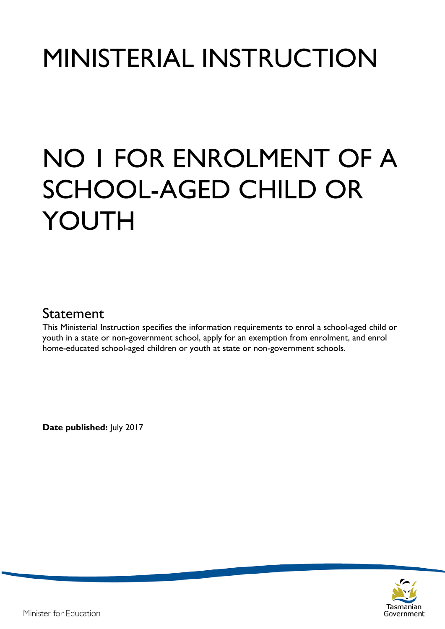# MINISTERIAL INSTRUCTION

# NO 1 FOR ENROLMENT OF A SCHOOL-AGED CHILD OR YOUTH

## Statement

This Ministerial Instruction specifies the information requirements to enrol a school-aged child or youth in a state or non-government school, apply for an exemption from enrolment, and enrol home-educated school-aged children or youth at state or non-government schools.

**Date published:** July 2017

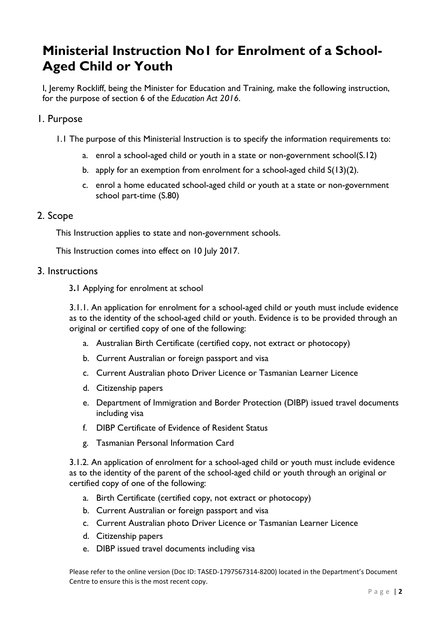# **Ministerial Instruction No1 for Enrolment of a School-Aged Child or Youth**

I, Jeremy Rockliff, being the Minister for Education and Training, make the following instruction, for the purpose of section 6 of the *Education Act 2016*.

#### 1. Purpose

- 1.1 The purpose of this Ministerial Instruction is to specify the information requirements to:
	- a. enrol a school-aged child or youth in a state or non-government school(S.12)
	- b. apply for an exemption from enrolment for a school-aged child S(13)(2).
	- c. enrol a home educated school-aged child or youth at a state or non-government school part-time (S.80)

#### 2. Scope

This Instruction applies to state and non-government schools.

This Instruction comes into effect on 10 July 2017.

#### 3. Instructions

3**.**1 Applying for enrolment at school

3.1.1. An application for enrolment for a school-aged child or youth must include evidence as to the identity of the school-aged child or youth. Evidence is to be provided through an original or certified copy of one of the following:

- a. Australian Birth Certificate (certified copy, not extract or photocopy)
- b. Current Australian or foreign passport and visa
- c. Current Australian photo Driver Licence or Tasmanian Learner Licence
- d. Citizenship papers
- e. Department of Immigration and Border Protection (DIBP) issued travel documents including visa
- f. DIBP Certificate of Evidence of Resident Status
- g. Tasmanian Personal Information Card

3.1.2. An application of enrolment for a school-aged child or youth must include evidence as to the identity of the parent of the school-aged child or youth through an original or certified copy of one of the following:

- a. Birth Certificate (certified copy, not extract or photocopy)
- b. Current Australian or foreign passport and visa
- c. Current Australian photo Driver Licence or Tasmanian Learner Licence
- d. Citizenship papers
- e. DIBP issued travel documents including visa

Please refer to the online version (Doc ID: TASED-1797567314-8200) located in the Department's Document Centre to ensure this is the most recent copy.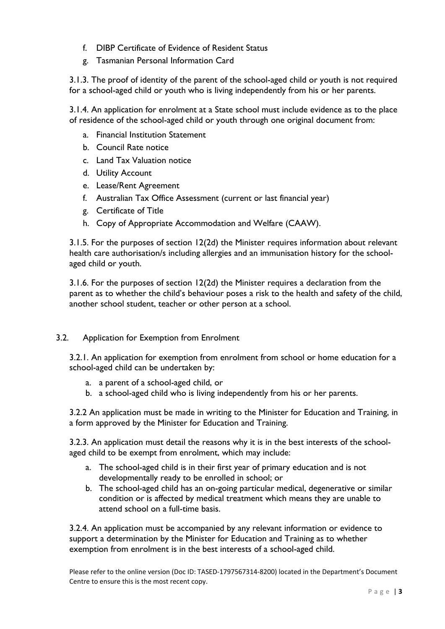- f. DIBP Certificate of Evidence of Resident Status
- g. Tasmanian Personal Information Card

3.1.3. The proof of identity of the parent of the school-aged child or youth is not required for a school-aged child or youth who is living independently from his or her parents.

3.1.4. An application for enrolment at a State school must include evidence as to the place of residence of the school-aged child or youth through one original document from:

- a. Financial Institution Statement
- b. Council Rate notice
- c. Land Tax Valuation notice
- d. Utility Account
- e. Lease/Rent Agreement
- f. Australian Tax Office Assessment (current or last financial year)
- g. Certificate of Title
- h. Copy of Appropriate Accommodation and Welfare (CAAW).

3.1.5. For the purposes of section 12(2d) the Minister requires information about relevant health care authorisation/s including allergies and an immunisation history for the schoolaged child or youth.

3.1.6. For the purposes of section 12(2d) the Minister requires a declaration from the parent as to whether the child's behaviour poses a risk to the health and safety of the child, another school student, teacher or other person at a school.

#### 3.2. Application for Exemption from Enrolment

3.2.1. An application for exemption from enrolment from school or home education for a school-aged child can be undertaken by:

- a. a parent of a school-aged child, or
- b. a school-aged child who is living independently from his or her parents.

3.2.2 An application must be made in writing to the Minister for Education and Training, in a form approved by the Minister for Education and Training.

3.2.3. An application must detail the reasons why it is in the best interests of the schoolaged child to be exempt from enrolment, which may include:

- a. The school-aged child is in their first year of primary education and is not developmentally ready to be enrolled in school; or
- b. The school-aged child has an on-going particular medical, degenerative or similar condition or is affected by medical treatment which means they are unable to attend school on a full-time basis.

3.2.4. An application must be accompanied by any relevant information or evidence to support a determination by the Minister for Education and Training as to whether exemption from enrolment is in the best interests of a school-aged child.

Please refer to the online version (Doc ID: TASED-1797567314-8200) located in the Department's Document Centre to ensure this is the most recent copy.